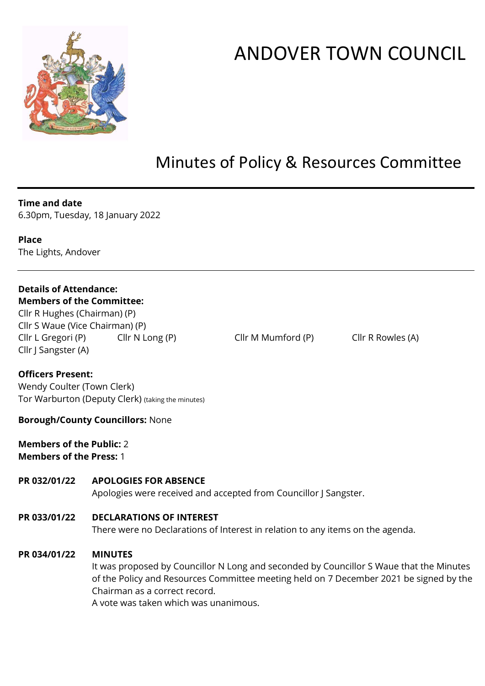

# ANDOVER TOWN COUNCIL

# Minutes of Policy & Resources Committee

#### **Time and date**

6.30pm, Tuesday, 18 January 2022

**Place** The Lights, Andover

## **Details of Attendance:**

#### **Members of the Committee:**  Cllr R Hughes (Chairman) (P)

Cllr S Waue (Vice Chairman) (P) Cllr L Gregori (P) Cllr N Long (P) Cllr M Mumford (P) Cllr R Rowles (A) Cllr J Sangster (A)

#### **Officers Present:**

Wendy Coulter (Town Clerk) Tor Warburton (Deputy Clerk) (taking the minutes)

#### **Borough/County Councillors:** None

**Members of the Public:** 2 **Members of the Press:** 1

#### **PR 032/01/22 APOLOGIES FOR ABSENCE**

Apologies were received and accepted from Councillor J Sangster.

#### **PR 033/01/22 DECLARATIONS OF INTEREST**

There were no Declarations of Interest in relation to any items on the agenda.

#### **PR 034/01/22 MINUTES**

It was proposed by Councillor N Long and seconded by Councillor S Waue that the Minutes of the Policy and Resources Committee meeting held on 7 December 2021 be signed by the Chairman as a correct record.

A vote was taken which was unanimous.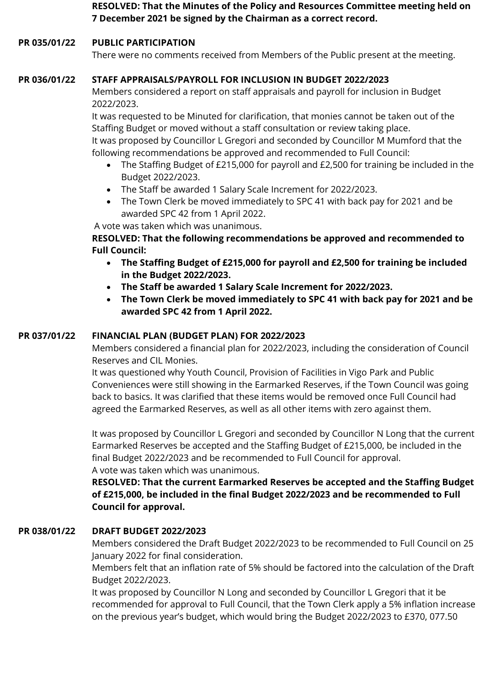**RESOLVED: That the Minutes of the Policy and Resources Committee meeting held on 7 December 2021 be signed by the Chairman as a correct record.**

#### **PR 035/01/22 PUBLIC PARTICIPATION**

There were no comments received from Members of the Public present at the meeting.

#### **PR 036/01/22 STAFF APPRAISALS/PAYROLL FOR INCLUSION IN BUDGET 2022/2023**

Members considered a report on staff appraisals and payroll for inclusion in Budget 2022/2023.

It was requested to be Minuted for clarification, that monies cannot be taken out of the Staffing Budget or moved without a staff consultation or review taking place. It was proposed by Councillor L Gregori and seconded by Councillor M Mumford that the following recommendations be approved and recommended to Full Council:

- The Staffing Budget of £215,000 for payroll and £2,500 for training be included in the Budget 2022/2023.
- The Staff be awarded 1 Salary Scale Increment for 2022/2023.
- The Town Clerk be moved immediately to SPC 41 with back pay for 2021 and be awarded SPC 42 from 1 April 2022.

A vote was taken which was unanimous.

#### **RESOLVED: That the following recommendations be approved and recommended to Full Council:**

- **The Staffing Budget of £215,000 for payroll and £2,500 for training be included in the Budget 2022/2023.**
- **The Staff be awarded 1 Salary Scale Increment for 2022/2023.**
- **The Town Clerk be moved immediately to SPC 41 with back pay for 2021 and be awarded SPC 42 from 1 April 2022.**

#### **PR 037/01/22 FINANCIAL PLAN (BUDGET PLAN) FOR 2022/2023**

Members considered a financial plan for 2022/2023, including the consideration of Council Reserves and CIL Monies.

It was questioned why Youth Council, Provision of Facilities in Vigo Park and Public Conveniences were still showing in the Earmarked Reserves, if the Town Council was going back to basics. It was clarified that these items would be removed once Full Council had agreed the Earmarked Reserves, as well as all other items with zero against them.

It was proposed by Councillor L Gregori and seconded by Councillor N Long that the current Earmarked Reserves be accepted and the Staffing Budget of £215,000, be included in the final Budget 2022/2023 and be recommended to Full Council for approval. A vote was taken which was unanimous.

**RESOLVED: That the current Earmarked Reserves be accepted and the Staffing Budget of £215,000, be included in the final Budget 2022/2023 and be recommended to Full Council for approval.**

#### **PR 038/01/22 DRAFT BUDGET 2022/2023**

Members considered the Draft Budget 2022/2023 to be recommended to Full Council on 25 January 2022 for final consideration.

Members felt that an inflation rate of 5% should be factored into the calculation of the Draft Budget 2022/2023.

It was proposed by Councillor N Long and seconded by Councillor L Gregori that it be recommended for approval to Full Council, that the Town Clerk apply a 5% inflation increase on the previous year's budget, which would bring the Budget 2022/2023 to £370, 077.50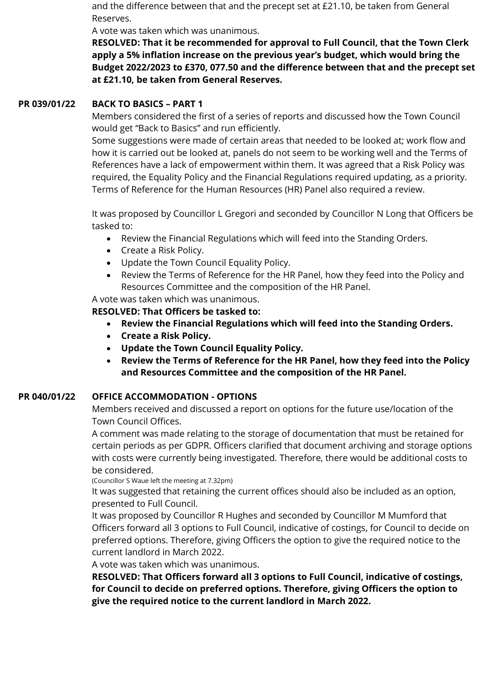and the difference between that and the precept set at £21.10, be taken from General Reserves.

A vote was taken which was unanimous.

**RESOLVED: That it be recommended for approval to Full Council, that the Town Clerk apply a 5% inflation increase on the previous year's budget, which would bring the Budget 2022/2023 to £370, 077.50 and the difference between that and the precept set at £21.10, be taken from General Reserves.**

#### **PR 039/01/22 BACK TO BASICS – PART 1**

Members considered the first of a series of reports and discussed how the Town Council would get "Back to Basics" and run efficiently.

Some suggestions were made of certain areas that needed to be looked at; work flow and how it is carried out be looked at, panels do not seem to be working well and the Terms of References have a lack of empowerment within them. It was agreed that a Risk Policy was required, the Equality Policy and the Financial Regulations required updating, as a priority. Terms of Reference for the Human Resources (HR) Panel also required a review.

It was proposed by Councillor L Gregori and seconded by Councillor N Long that Officers be tasked to:

- Review the Financial Regulations which will feed into the Standing Orders.
- Create a Risk Policy.
- Update the Town Council Equality Policy.
- Review the Terms of Reference for the HR Panel, how they feed into the Policy and Resources Committee and the composition of the HR Panel.

### A vote was taken which was unanimous.

**RESOLVED: That Officers be tasked to:**

- **Review the Financial Regulations which will feed into the Standing Orders.**
- **Create a Risk Policy.**
- **Update the Town Council Equality Policy.**
- **Review the Terms of Reference for the HR Panel, how they feed into the Policy and Resources Committee and the composition of the HR Panel.**

#### **PR 040/01/22 OFFICE ACCOMMODATION - OPTIONS**

Members received and discussed a report on options for the future use/location of the Town Council Offices.

A comment was made relating to the storage of documentation that must be retained for certain periods as per GDPR. Officers clarified that document archiving and storage options with costs were currently being investigated. Therefore, there would be additional costs to be considered.

(Councillor S Waue left the meeting at 7.32pm)

It was suggested that retaining the current offices should also be included as an option, presented to Full Council.

It was proposed by Councillor R Hughes and seconded by Councillor M Mumford that Officers forward all 3 options to Full Council, indicative of costings, for Council to decide on preferred options. Therefore, giving Officers the option to give the required notice to the current landlord in March 2022.

A vote was taken which was unanimous.

**RESOLVED: That Officers forward all 3 options to Full Council, indicative of costings, for Council to decide on preferred options. Therefore, giving Officers the option to give the required notice to the current landlord in March 2022.**